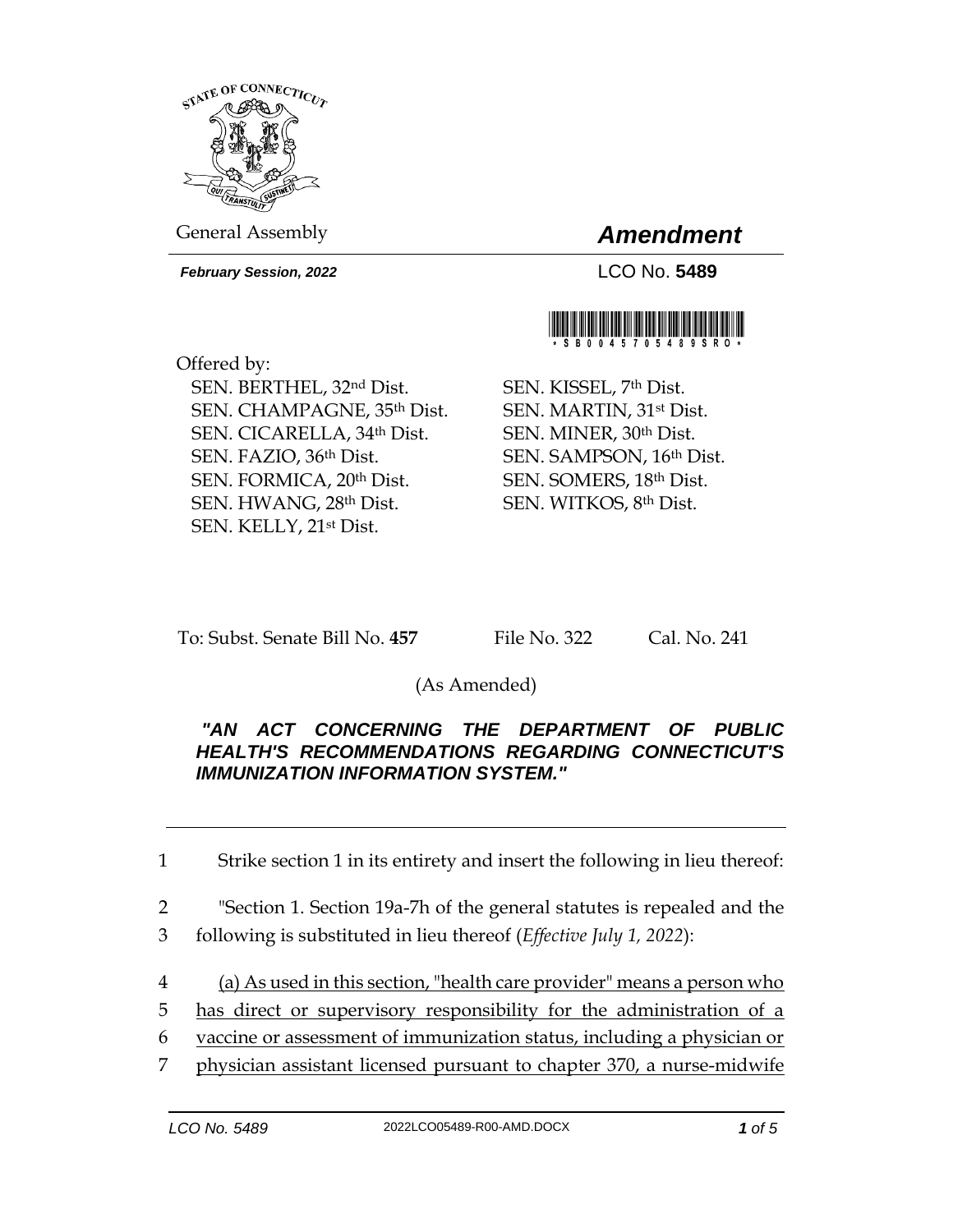

General Assembly *Amendment*

*February Session, 2022* LCO No. **5489**

Offered by: SEN. BERTHEL, 32nd Dist. SEN. CHAMPAGNE, 35th Dist. SEN. CICARELLA, 34th Dist. SEN. FAZIO, 36th Dist. SEN. FORMICA, 20th Dist. SEN. HWANG, 28th Dist.



SEN. KISSEL, 7th Dist. SEN. MARTIN, 31st Dist. SEN. MINER, 30th Dist. SEN. SAMPSON, 16th Dist. SEN. SOMERS, 18th Dist. SEN. WITKOS, 8th Dist.

To: Subst. Senate Bill No. **457** File No. 322 Cal. No. 241

SEN. KELLY, 21st Dist.

(As Amended)

## *"AN ACT CONCERNING THE DEPARTMENT OF PUBLIC HEALTH'S RECOMMENDATIONS REGARDING CONNECTICUT'S IMMUNIZATION INFORMATION SYSTEM."*

1 Strike section 1 in its entirety and insert the following in lieu thereof:

- 2 "Section 1. Section 19a-7h of the general statutes is repealed and the 3 following is substituted in lieu thereof (*Effective July 1, 2022*):
- 4 (a) As used in this section, "health care provider" means a person who
- 5 has direct or supervisory responsibility for the administration of a
- 6 vaccine or assessment of immunization status, including a physician or
- 7 physician assistant licensed pursuant to chapter 370, a nurse-midwife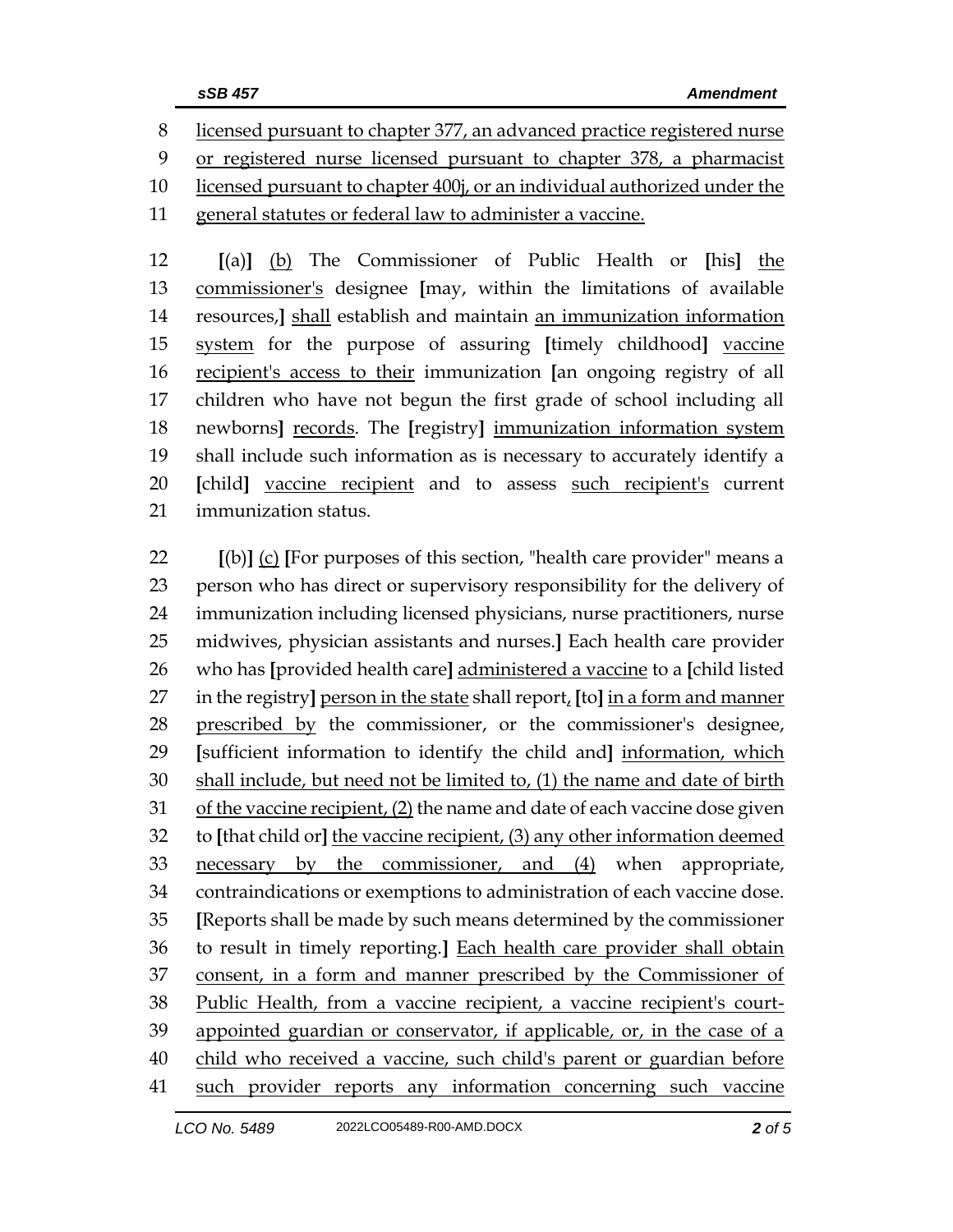licensed pursuant to chapter 377, an advanced practice registered nurse or registered nurse licensed pursuant to chapter 378, a pharmacist licensed pursuant to chapter 400j, or an individual authorized under the

general statutes or federal law to administer a vaccine.

 **[**(a)**]** (b) The Commissioner of Public Health or **[**his**]** the commissioner's designee **[**may, within the limitations of available resources,**]** shall establish and maintain an immunization information system for the purpose of assuring **[**timely childhood**]** vaccine recipient's access to their immunization **[**an ongoing registry of all children who have not begun the first grade of school including all newborns**]** records. The **[**registry**]** immunization information system shall include such information as is necessary to accurately identify a **[**child**]** vaccine recipient and to assess such recipient's current immunization status.

 **[**(b)**]** (c) **[**For purposes of this section, "health care provider" means a person who has direct or supervisory responsibility for the delivery of immunization including licensed physicians, nurse practitioners, nurse midwives, physician assistants and nurses.**]** Each health care provider who has **[**provided health care**]** administered a vaccine to a **[**child listed in the registry**]** person in the state shall report, **[**to**]** in a form and manner prescribed by the commissioner, or the commissioner's designee, **[**sufficient information to identify the child and**]** information, which shall include, but need not be limited to, (1) the name and date of birth of the vaccine recipient, (2) the name and date of each vaccine dose given to **[**that child or**]** the vaccine recipient, (3) any other information deemed necessary by the commissioner, and (4) when appropriate, contraindications or exemptions to administration of each vaccine dose. **[**Reports shall be made by such means determined by the commissioner to result in timely reporting.**]** Each health care provider shall obtain consent, in a form and manner prescribed by the Commissioner of Public Health, from a vaccine recipient, a vaccine recipient's court- appointed guardian or conservator, if applicable, or, in the case of a child who received a vaccine, such child's parent or guardian before such provider reports any information concerning such vaccine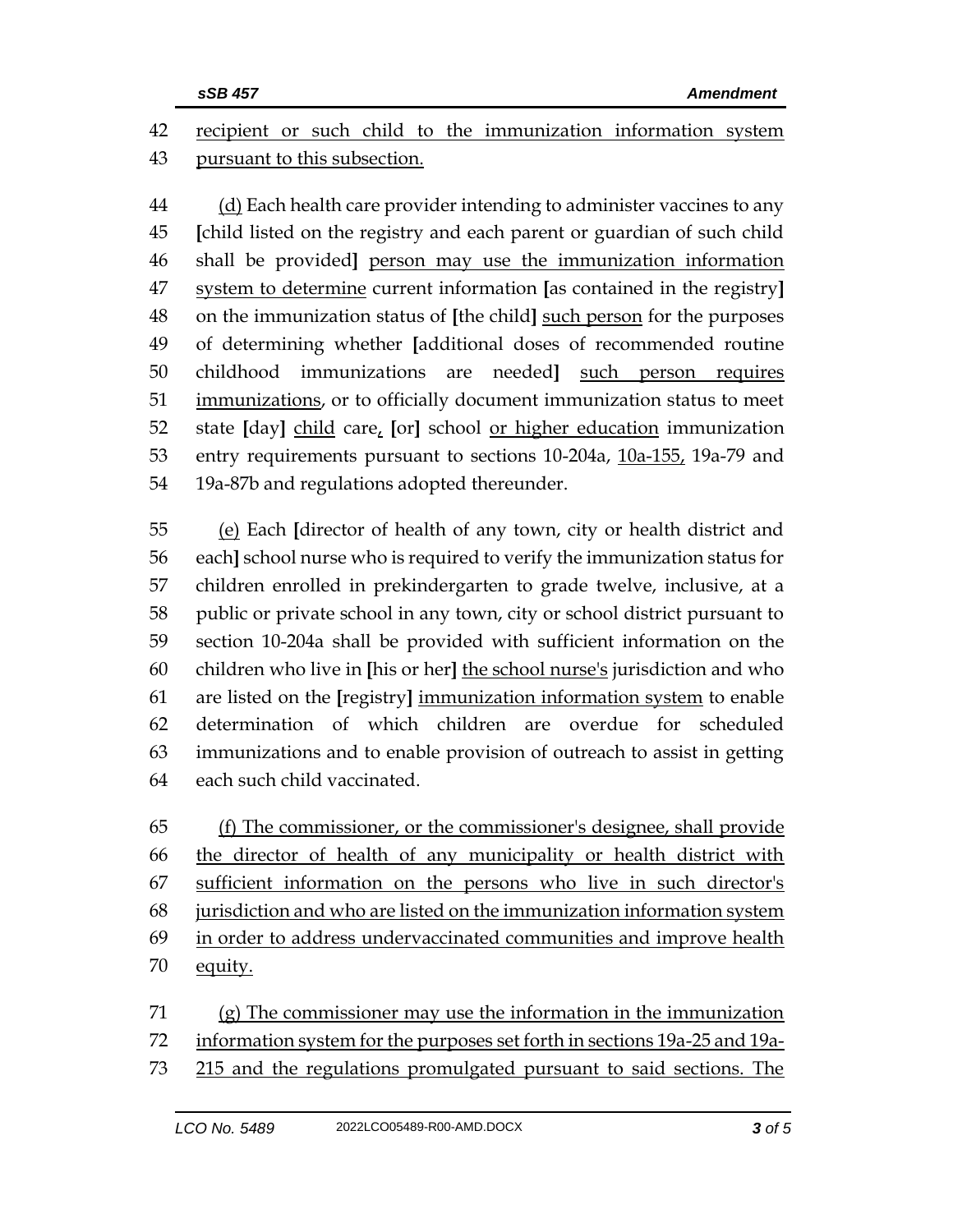recipient or such child to the immunization information system pursuant to this subsection.

 (d) Each health care provider intending to administer vaccines to any **[**child listed on the registry and each parent or guardian of such child shall be provided**]** person may use the immunization information system to determine current information **[**as contained in the registry**]** on the immunization status of **[**the child**]** such person for the purposes of determining whether **[**additional doses of recommended routine childhood immunizations are needed**]** such person requires 51 immunizations, or to officially document immunization status to meet state **[**day**]** child care, **[**or**]** school or higher education immunization entry requirements pursuant to sections 10-204a, 10a-155, 19a-79 and 19a-87b and regulations adopted thereunder.

 (e) Each **[**director of health of any town, city or health district and each**]** school nurse who is required to verify the immunization status for children enrolled in prekindergarten to grade twelve, inclusive, at a public or private school in any town, city or school district pursuant to section 10-204a shall be provided with sufficient information on the children who live in **[**his or her**]** the school nurse's jurisdiction and who are listed on the **[**registry**]** immunization information system to enable determination of which children are overdue for scheduled immunizations and to enable provision of outreach to assist in getting each such child vaccinated.

 (f) The commissioner, or the commissioner's designee, shall provide the director of health of any municipality or health district with sufficient information on the persons who live in such director's jurisdiction and who are listed on the immunization information system in order to address undervaccinated communities and improve health 70 equity.

 (g) The commissioner may use the information in the immunization information system for the purposes set forth in sections 19a-25 and 19a-215 and the regulations promulgated pursuant to said sections. The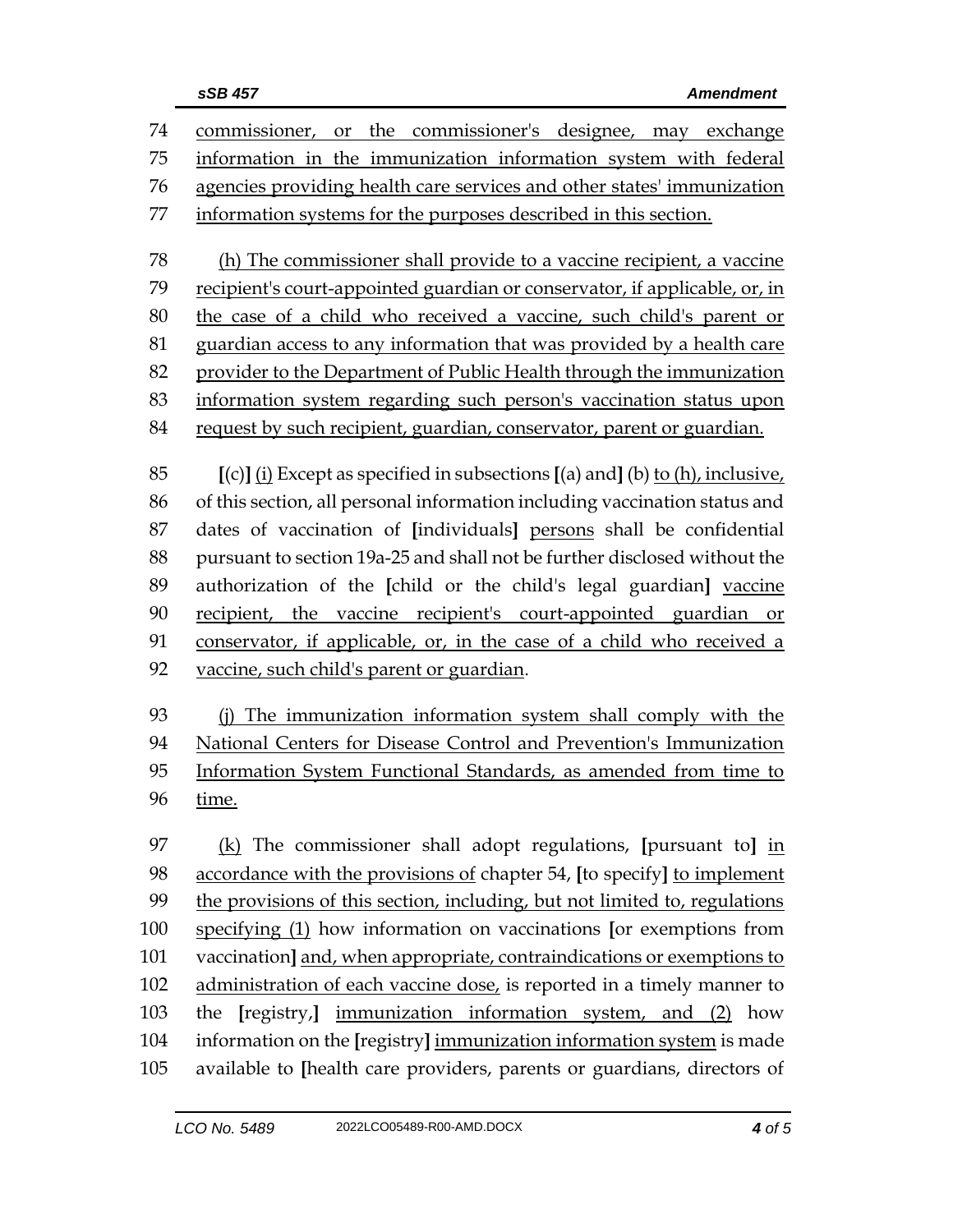| 74  | commissioner, or the commissioner's designee, may exchange                        |  |  |
|-----|-----------------------------------------------------------------------------------|--|--|
| 75  | information in the immunization information system with federal                   |  |  |
| 76  | agencies providing health care services and other states' immunization            |  |  |
| 77  | information systems for the purposes described in this section.                   |  |  |
| 78  | (h) The commissioner shall provide to a vaccine recipient, a vaccine              |  |  |
| 79  | recipient's court-appointed guardian or conservator, if applicable, or, in        |  |  |
| 80  | the case of a child who received a vaccine, such child's parent or                |  |  |
| 81  | guardian access to any information that was provided by a health care             |  |  |
| 82  | provider to the Department of Public Health through the immunization              |  |  |
| 83  | information system regarding such person's vaccination status upon                |  |  |
| 84  | request by such recipient, guardian, conservator, parent or guardian.             |  |  |
|     |                                                                                   |  |  |
| 85  | $[(c)]$ (i) Except as specified in subsections $[(a)$ and] (b) to (h), inclusive, |  |  |
| 86  | of this section, all personal information including vaccination status and        |  |  |
| 87  | dates of vaccination of [individuals] persons shall be confidential               |  |  |
| 88  | pursuant to section 19a-25 and shall not be further disclosed without the         |  |  |
| 89  | authorization of the [child or the child's legal guardian] vaccine                |  |  |
| 90  | recipient, the vaccine recipient's court-appointed guardian or                    |  |  |
| 91  | conservator, if applicable, or, in the case of a child who received a             |  |  |
| 92  | vaccine, such child's parent or guardian.                                         |  |  |
| 93  | The immunization information system shall comply with the<br>(i)                  |  |  |
| 94  | National Centers for Disease Control and Prevention's Immunization                |  |  |
| 95  | Information System Functional Standards, as amended from time to                  |  |  |
| 96  | time.                                                                             |  |  |
| 97  | $(k)$ The commissioner shall adopt regulations, [pursuant to] in                  |  |  |
| 98  | accordance with the provisions of chapter 54, [to specify] to implement           |  |  |
| 99  | the provisions of this section, including, but not limited to, regulations        |  |  |
| 100 | specifying (1) how information on vaccinations [or exemptions from                |  |  |
| 101 | vaccination] and, when appropriate, contraindications or exemptions to            |  |  |

102 administration of each vaccine dose, is reported in a timely manner to the **[**registry,**]** immunization information system, and (2) how

 information on the **[**registry**]** immunization information system is made available to **[**health care providers, parents or guardians, directors of